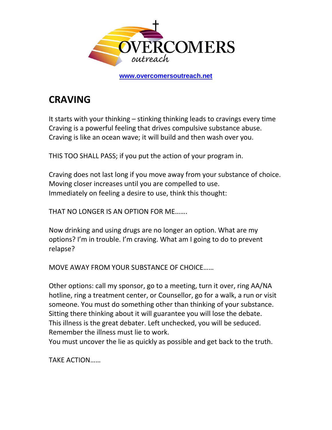

**[www.overcomersoutreach.net](http://www.overcomersoutreach.net/)**

## **CRAVING**

It starts with your thinking – stinking thinking leads to cravings every time Craving is a powerful feeling that drives compulsive substance abuse. Craving is like an ocean wave; it will build and then wash over you.

THIS TOO SHALL PASS; if you put the action of your program in.

Craving does not last long if you move away from your substance of choice. Moving closer increases until you are compelled to use. Immediately on feeling a desire to use, think this thought:

THAT NO LONGER IS AN OPTION FOR ME…….

Now drinking and using drugs are no longer an option. What are my options? I'm in trouble. I'm craving. What am I going to do to prevent relapse?

MOVE AWAY FROM YOUR SUBSTANCE OF CHOICE……

Other options: call my sponsor, go to a meeting, turn it over, ring AA/NA hotline, ring a treatment center, or Counsellor, go for a walk, a run or visit someone. You must do something other than thinking of your substance. Sitting there thinking about it will guarantee you will lose the debate. This illness is the great debater. Left unchecked, you will be seduced. Remember the illness must lie to work.

You must uncover the lie as quickly as possible and get back to the truth.

TAKE ACTION……